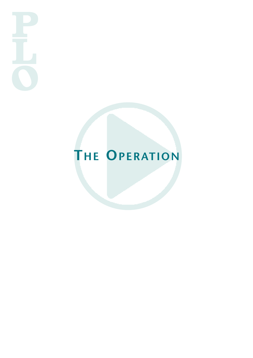# **THE OPERATION**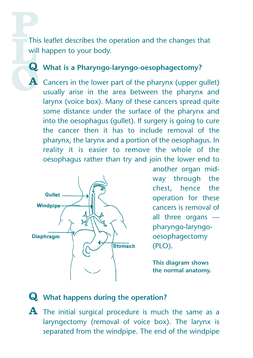This leaflet describes the operation and the changes that will happen to your body.

#### **Q What is <sup>a</sup> Pharyngo-laryngo-oesophagectomy?**

**A** Cancers in the lower part of the pharynx (upper gullet) usually arise in the area between the pharynx and larynx (voice box). Many of these cancers spread quite some distance under the surface of the pharynx and into the oesophagus (gullet). If surgery is going to cure the cancer then it has to include removal of the pharynx, the larynx and a portion of the oesophagus. In reality it is easier to remove the whole of the oesophagus rather than try and join the lower end to



another organ midway through the chest, hence the operation for these cancers is removal of all three organs pharyngo-laryngooesophagectomy (PLO).

**This diagram shows the normal anatomy.**

## **Q What happens during the operation?**

**A** The initial surgical procedure is much the same as <sup>a</sup> laryngectomy (removal of voice box). The larynx is separated from the windpipe. The end of the windpipe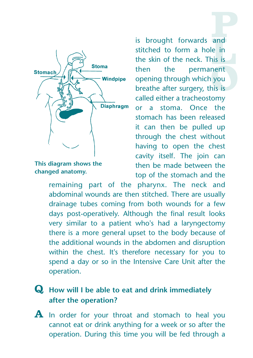

**This diagram shows the changed anatomy.**

is brought forwards and stitched to form a hole in the skin of the neck. This is then the permanent opening through which you breathe after surgery, this is called either a tracheostomy or a stoma. Once the stomach has been released it can then be pulled up through the chest without having to open the chest cavity itself. The join can then be made between the top of the stomach and the

remaining part of the pharynx. The neck and abdominal wounds are then stitched. There are usually drainage tubes coming from both wounds for a few days post-operatively. Although the final result looks very similar to a patient who's had a laryngectomy there is a more general upset to the body because of the additional wounds in the abdomen and disruption within the chest. It's therefore necessary for you to spend a day or so in the Intensive Care Unit after the operation.

## **Q How will <sup>I</sup> be able to eat and drink immediately after the operation?**

**A** In order for your throat and stomach to heal you cannot eat or drink anything for a week or so after the operation. During this time you will be fed through a